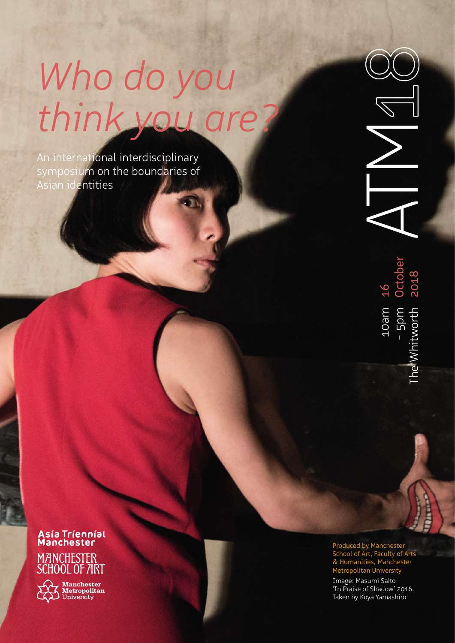# *Who do you think you are?*

An international interdisciplinary symposium on the boundaries of Asian identities

**TM** 

16<br>October<br>2018 he Whitworth The Whitworth

Asía Tríenníal<br>Manchester MANCHESTER<br>SCHOOL OF ART

**Manchester**<br>**Metropolitan**<br>University

Produced by Manchester School of Art, Faculty of Arts & Humanities, Manchester Metropolitan University EC<br>
Produced by Manchester<br>
School of Art, Faculty of J<br>
& Humanities, Manchester<br>
& Humanities, Manchest<br>
Metropolitan University<br>
Image: Masumi Saito<br>
"In Praise of Shadow" 20:<br>
Taken by Koya Yamashiro

Image: Masumi Saito 'In Praise of Shadow' 2016.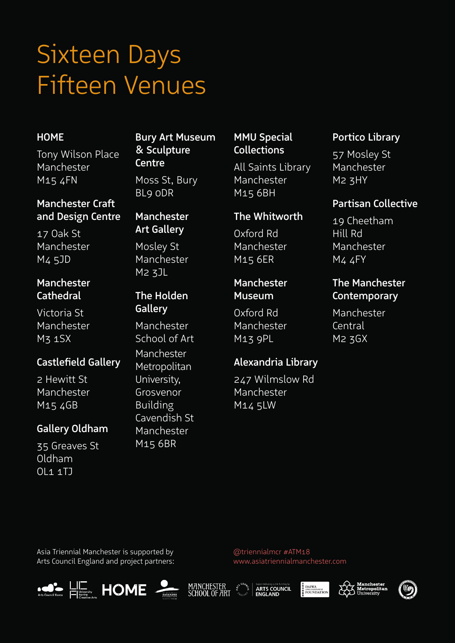# Sixteen Days Fifteen Venues

### HOME

Tony Wilson Place Manchester M15 4FN

### Manchester Craft and Design Centre

17 Oak St Manchester M4 5JD

### Manchester **Cathedral**

Victoria St Manchester M3 1SX

# Castlefield Gallery

2 Hewitt St Manchester M15 4GB

## Gallery Oldham

35 Greaves St Oldham OL1 1TJ

# Bury Art Museum & Sculpture **Centre**

Moss St, Bury BL9 0DR

### Manchester Art Gallery

Mosley St Manchester M2 3JL

## The Holden **Gallery**

Manchester School of Art Manchester Metropolitan University, Grosvenor Building Cavendish St Manchester M15 6BR

## MMU Special **Collections**

All Saints Library Manchester M15 6BH

## The Whitworth

Oxford Rd Manchester M15 6ER

### Manchester Museum

Oxford Rd Manchester M13 9PL

## Alexandria Library

247 Wilmslow Rd Manchester M14 5LW

## Portico Library

57 Mosley St Manchester M2 3HY

### Partisan Collective

19 Cheetham Hill Rd Manchester M4 4FY

## The Manchester **Contemporary**

Manchester Central M2 3GX

Asia Triennial Manchester is supported by Arts Council England and project partners:

MANCHESTER<br>SCHOOL OF ART



@triennialmcr #ATM18

www.asiatriennialmanchester.com





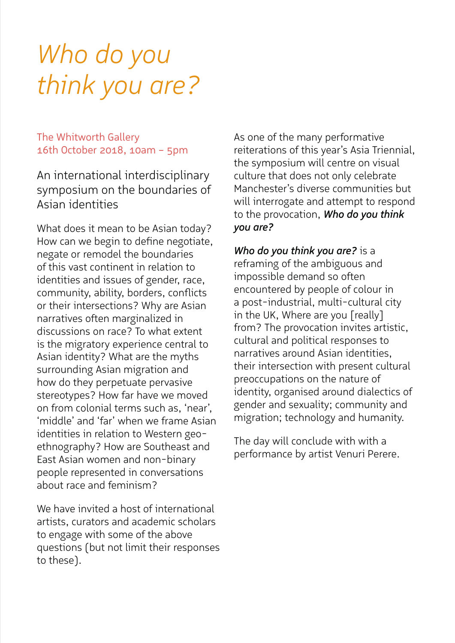# *Who do you think you are?*

The Whitworth Gallery 16th October 2018, 10am – 5pm

An international interdisciplinary symposium on the boundaries of Asian identities

What does it mean to be Asian today? How can we begin to define negotiate, negate or remodel the boundaries of this vast continent in relation to identities and issues of gender, race, community, ability, borders, conflicts or their intersections? Why are Asian narratives often marginalized in discussions on race? To what extent is the migratory experience central to Asian identity? What are the myths surrounding Asian migration and how do they perpetuate pervasive stereotypes? How far have we moved on from colonial terms such as, 'near', 'middle' and 'far' when we frame Asian identities in relation to Western geoethnography? How are Southeast and East Asian women and non-binary people represented in conversations about race and feminism?

We have invited a host of international artists, curators and academic scholars to engage with some of the above questions (but not limit their responses to these).

As one of the many performative reiterations of this year's Asia Triennial, the symposium will centre on visual culture that does not only celebrate Manchester's diverse communities but will interrogate and attempt to respond to the provocation, *Who do you think you are?* 

*Who do you think you are?* is a reframing of the ambiguous and impossible demand so often encountered by people of colour in a post-industrial, multi-cultural city in the UK, Where are you [really] from? The provocation invites artistic, cultural and political responses to narratives around Asian identities, their intersection with present cultural preoccupations on the nature of identity, organised around dialectics of gender and sexuality; community and migration; technology and humanity.

The day will conclude with with a performance by artist Venuri Perere.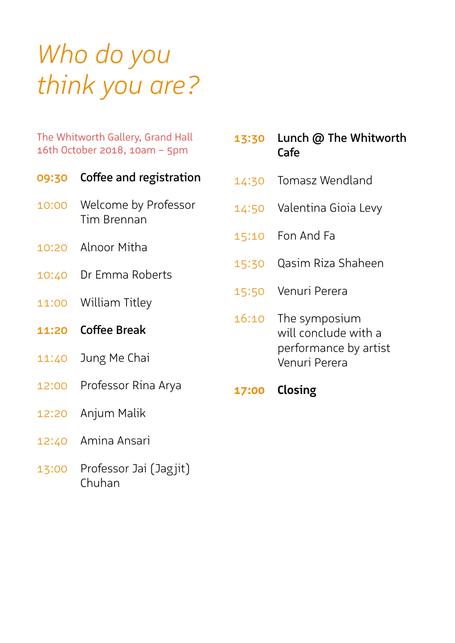# *Who do you think you are?*

The Whitworth Gallery, Grand Hall 16th October 2018, 10am – 5pm

|              | 09:30 Coffee and registration       |
|--------------|-------------------------------------|
| 10:00        | Welcome by Professor<br>Tim Brennan |
|              | 10:20 Alnoor Mitha                  |
|              | 10:40 Dr Emma Roberts               |
|              | 11:00 William Titley                |
|              |                                     |
| <b>11:20</b> | <b>Coffee Break</b>                 |
| 11:40        | Jung Me Chai                        |
|              | 12:00 Professor Rina Arya           |
| 12:20        | Anjum Malik                         |

13:00 Professor Jai (Jagjit) Chuhan

| 13:30 | Lunch @ The Whitworth<br>Cafe                                                   |
|-------|---------------------------------------------------------------------------------|
| 14:30 | <b>Tomasz Wendland</b>                                                          |
|       | 14:50 Valentina Gioia Levy                                                      |
|       | 15:10 Fon And Fa                                                                |
| 15:30 | Qasim Riza Shaheen                                                              |
|       | 15:50 Venuri Perera                                                             |
| 16:10 | The symposium<br>will conclude with a<br>performance by artist<br>Venuri Perera |
|       | 17:00 Closing                                                                   |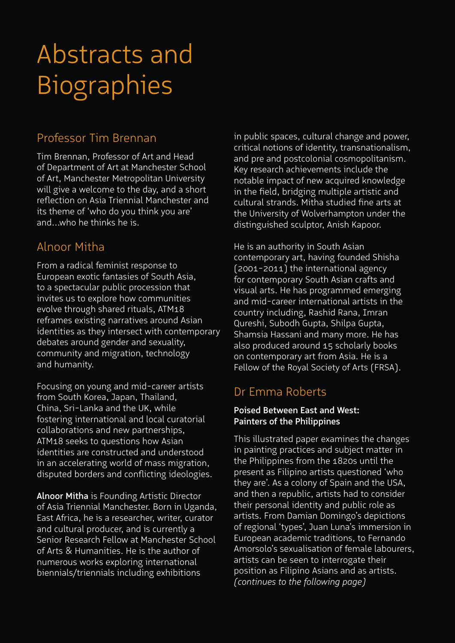# Professor Tim Brennan

Tim Brennan, Professor of Art and Head of Department of Art at Manchester School of Art, Manchester Metropolitan University will give a welcome to the day, and a short reflection on Asia Triennial Manchester and its theme of 'who do you think you are' and...who he thinks he is.

# Alnoor Mitha

From a radical feminist response to European exotic fantasies of South Asia, to a spectacular public procession that invites us to explore how communities evolve through shared rituals, ATM18 reframes existing narratives around Asian identities as they intersect with contemporary debates around gender and sexuality, community and migration, technology and humanity.

Focusing on young and mid-career artists from South Korea, Japan, Thailand, China, Sri-Lanka and the UK, while fostering international and local curatorial collaborations and new partnerships, ATM18 seeks to questions how Asian identities are constructed and understood in an accelerating world of mass migration, disputed borders and conflicting ideologies.

Alnoor Mitha is Founding Artistic Director of Asia Triennial Manchester. Born in Uganda, East Africa, he is a researcher, writer, curator and cultural producer, and is currently a Senior Research Fellow at Manchester School of Arts & Humanities. He is the author of numerous works exploring international biennials/triennials including exhibitions

in public spaces, cultural change and power, critical notions of identity, transnationalism, and pre and postcolonial cosmopolitanism. Key research achievements include the notable impact of new acquired knowledge in the field, bridging multiple artistic and cultural strands. Mitha studied fine arts at the University of Wolverhampton under the distinguished sculptor, Anish Kapoor.

He is an authority in South Asian contemporary art, having founded Shisha (2001-2011) the international agency for contemporary South Asian crafts and visual arts. He has programmed emerging and mid-career international artists in the country including, Rashid Rana, Imran Qureshi, Subodh Gupta, Shilpa Gupta, Shamsia Hassani and many more. He has also produced around 15 scholarly books on contemporary art from Asia. He is a Fellow of the Royal Society of Arts (FRSA).

# Dr Emma Roberts

### Poised Between East and West: Painters of the Philippines

This illustrated paper examines the changes in painting practices and subject matter in the Philippines from the 1820s until the present as Filipino artists questioned 'who they are'. As a colony of Spain and the USA, and then a republic, artists had to consider their personal identity and public role as artists. From Damian Domingo's depictions of regional 'types', Juan Luna's immersion in European academic traditions, to Fernando Amorsolo's sexualisation of female labourers, artists can be seen to interrogate their position as Filipino Asians and as artists. *(continues to the following page)*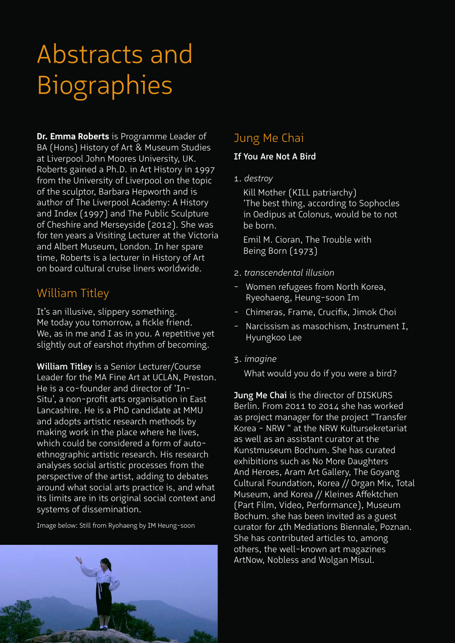**Dr. Emma Roberts** is Programme Leader of BA (Hons) History of Art & Museum Studies at Liverpool John Moores University, UK. Roberts gained a Ph.D. in Art History in 1997 from the University of Liverpool on the topic of the sculptor, Barbara Hepworth and is author of The Liverpool Academy: A History and Index (1997) and The Public Sculpture of Cheshire and Merseyside (2012). She was for ten years a Visiting Lecturer at the Victoria and Albert Museum, London. In her spare time, Roberts is a lecturer in History of Art on board cultural cruise liners worldwide.

# William Titley

It's an illusive, slippery something. Me today you tomorrow, a fickle friend. We, as in me and I as in you. A repetitive yet slightly out of earshot rhythm of becoming.

William Titley is a Senior Lecturer/Course Leader for the MA Fine Art at UCLAN, Preston. He is a co-founder and director of 'In-Situ', a non-profit arts organisation in East Lancashire. He is a PhD candidate at MMU and adopts artistic research methods by making work in the place where he lives, which could be considered a form of autoethnographic artistic research. His research analyses social artistic processes from the perspective of the artist, adding to debates around what social arts practice is, and what its limits are in its original social context and systems of dissemination.

Image below: Still from Ryohaeng by IM Heung-soon

# Jung Me Chai

### If You Are Not A Bird

### 1. *destroy*

 Kill Mother (KILL patriarchy) 'The best thing, according to Sophocles in Oedipus at Colonus, would be to not be born.

 Emil M. Cioran, The Trouble with Being Born (1973)

- 2. *transcendental illusion*
- Women refugees from North Korea, Ryeohaeng, Heung-soon Im
- Chimeras, Frame, Crucifix, Jimok Choi
- Narcissism as masochism, Instrument I, Hyungkoo Lee
- 3. *imagine*

What would you do if you were a bird?

Jung Me Chai is the director of DISKURS Berlin. From 2011 to 2014 she has worked as project manager for the project "Transfer Korea - NRW " at the NRW Kultursekretariat as well as an assistant curator at the Kunstmuseum Bochum. She has curated exhibitions such as No More Daughters And Heroes, Aram Art Gallery, The Goyang Cultural Foundation, Korea // Organ Mix, Total Museum, and Korea // Kleines Affektchen (Part Film, Video, Performance), Museum Bochum. she has been invited as a guest curator for 4th Mediations Biennale, Poznan. She has contributed articles to, among others, the well-known art magazines ArtNow, Nobless and Wolgan Misul.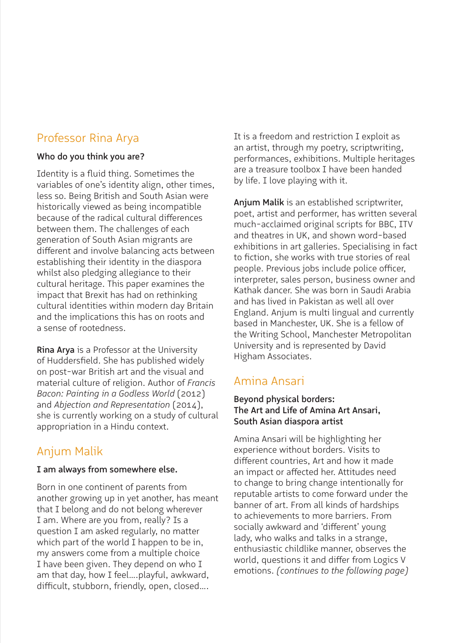# Professor Rina Arya

### Who do you think you are?

Identity is a fluid thing. Sometimes the variables of one's identity align, other times, less so. Being British and South Asian were historically viewed as being incompatible because of the radical cultural differences between them. The challenges of each generation of South Asian migrants are different and involve balancing acts between establishing their identity in the diaspora whilst also pledging allegiance to their cultural heritage. This paper examines the impact that Brexit has had on rethinking cultural identities within modern day Britain and the implications this has on roots and a sense of rootedness.

Rina Arya is a Professor at the University of Huddersfield. She has published widely on post-war British art and the visual and material culture of religion. Author of *Francis Bacon: Painting in a Godless World* (2012) and *Abjection and Representation* (2014), she is currently working on a study of cultural appropriation in a Hindu context.

# Anjum Malik

### I am always from somewhere else.

Born in one continent of parents from another growing up in yet another, has meant that I belong and do not belong wherever I am. Where are you from, really? Is a question I am asked regularly, no matter which part of the world I happen to be in. my answers come from a multiple choice I have been given. They depend on who I am that day, how I feel….playful, awkward, difficult, stubborn, friendly, open, closed….

It is a freedom and restriction I exploit as an artist, through my poetry, scriptwriting, performances, exhibitions. Multiple heritages are a treasure toolbox I have been handed by life. I love playing with it.

Anjum Malik is an established scriptwriter, poet, artist and performer, has written several much-acclaimed original scripts for BBC, ITV and theatres in UK, and shown word-based exhibitions in art galleries. Specialising in fact to fiction, she works with true stories of real people. Previous jobs include police officer, interpreter, sales person, business owner and Kathak dancer. She was born in Saudi Arabia and has lived in Pakistan as well all over England. Anjum is multi lingual and currently based in Manchester, UK. She is a fellow of the Writing School, Manchester Metropolitan University and is represented by David Higham Associates.

# Amina Ansari

### Beyond physical borders: The Art and Life of Amina Art Ansari, South Asian diaspora artist

Amina Ansari will be highlighting her experience without borders. Visits to different countries, Art and how it made an impact or affected her. Attitudes need to change to bring change intentionally for reputable artists to come forward under the banner of art. From all kinds of hardships to achievements to more barriers. From socially awkward and 'different' young lady, who walks and talks in a strange, enthusiastic childlike manner, observes the world, questions it and differ from Logics V emotions. *(continues to the following page)*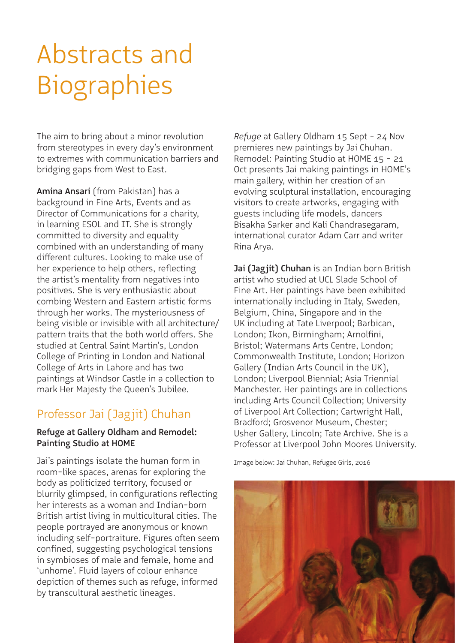The aim to bring about a minor revolution from stereotypes in every day's environment to extremes with communication barriers and bridging gaps from West to East.

Amina Ansari (from Pakistan) has a background in Fine Arts, Events and as Director of Communications for a charity, in learning ESOL and IT. She is strongly committed to diversity and equality combined with an understanding of many different cultures. Looking to make use of her experience to help others, reflecting the artist's mentality from negatives into positives. She is very enthusiastic about combing Western and Eastern artistic forms through her works. The mysteriousness of being visible or invisible with all architecture/ pattern traits that the both world offers. She studied at Central Saint Martin's, London College of Printing in London and National College of Arts in Lahore and has two paintings at Windsor Castle in a collection to mark Her Majesty the Queen's Jubilee.

# Professor Jai (Jagjit) Chuhan

### Refuge at Gallery Oldham and Remodel: Painting Studio at HOME

Jai's paintings isolate the human form in room-like spaces, arenas for exploring the body as politicized territory, focused or blurrily glimpsed, in configurations reflecting her interests as a woman and Indian-born British artist living in multicultural cities. The people portrayed are anonymous or known including self-portraiture. Figures often seem confined, suggesting psychological tensions in symbioses of male and female, home and 'unhome'. Fluid layers of colour enhance depiction of themes such as refuge, informed by transcultural aesthetic lineages.

*Refuge* at Gallery Oldham 15 Sept - 24 Nov premieres new paintings by Jai Chuhan. Remodel: Painting Studio at HOME 15 - 21 Oct presents Jai making paintings in HOME's main gallery, within her creation of an evolving sculptural installation, encouraging visitors to create artworks, engaging with guests including life models, dancers Bisakha Sarker and Kali Chandrasegaram, international curator Adam Carr and writer Rina Arya.

Jai (Jagjit) Chuhan is an Indian born British artist who studied at UCL Slade School of Fine Art. Her paintings have been exhibited internationally including in Italy, Sweden, Belgium, China, Singapore and in the UK including at Tate Liverpool; Barbican, London; Ikon, Birmingham; Arnolfini, Bristol; Watermans Arts Centre, London; Commonwealth Institute, London; Horizon Gallery (Indian Arts Council in the UK), London; Liverpool Biennial; Asia Triennial Manchester. Her paintings are in collections including Arts Council Collection; University of Liverpool Art Collection; Cartwright Hall, Bradford; Grosvenor Museum, Chester; Usher Gallery, Lincoln; Tate Archive. She is a Professor at Liverpool John Moores University.

Image below: Jai Chuhan, Refugee Girls, 2016

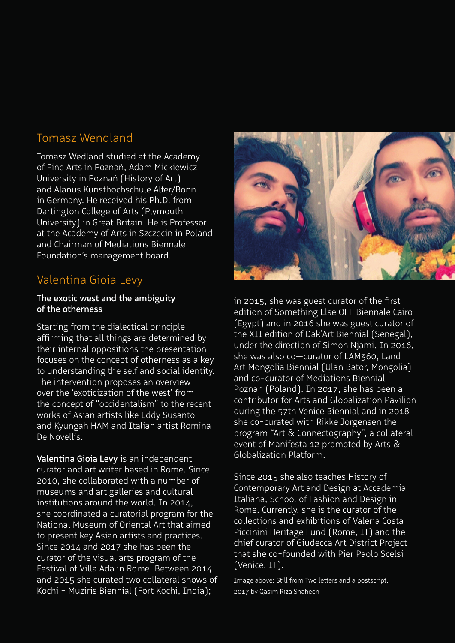# Tomasz Wendland

Tomasz Wedland studied at the Academy of Fine Arts in Poznań, Adam Mickiewicz University in Poznań (History of Art) and Alanus Kunsthochschule Alfer/Bonn in Germany. He received his Ph.D. from Dartington College of Arts (Plymouth University) in Great Britain. He is Professor at the Academy of Arts in Szczecin in Poland and Chairman of Mediations Biennale Foundation's management board.

# Valentina Gioia Levy

### The exotic west and the ambiguity of the otherness

Starting from the dialectical principle affirming that all things are determined by their internal oppositions the presentation focuses on the concept of otherness as a key to understanding the self and social identity. The intervention proposes an overview over the 'exoticization of the west' from the concept of "occidentalism" to the recent works of Asian artists like Eddy Susanto and Kyungah HAM and Italian artist Romina De Novellis.

Valentina Gioia Levy is an independent curator and art writer based in Rome. Since 2010, she collaborated with a number of museums and art galleries and cultural institutions around the world. In 2014, she coordinated a curatorial program for the National Museum of Oriental Art that aimed to present key Asian artists and practices. Since 2014 and 2017 she has been the curator of the visual arts program of the Festival of Villa Ada in Rome. Between 2014 and 2015 she curated two collateral shows of Kochi - Muziris Biennial (Fort Kochi, India);



in 2015, she was guest curator of the first edition of Something Else OFF Biennale Cairo (Egypt) and in 2016 she was guest curator of the XII edition of Dak'Art Biennial (Senegal), under the direction of Simon Njami. In 2016, she was also co—curator of LAM360, Land Art Mongolia Biennial (Ulan Bator, Mongolia) and co-curator of Mediations Biennial Poznan (Poland). In 2017, she has been a contributor for Arts and Globalization Pavilion during the 57th Venice Biennial and in 2018 she co-curated with Rikke Jorgensen the program "Art & Connectography", a collateral event of Manifesta 12 promoted by Arts & Globalization Platform.

Since 2015 she also teaches History of Contemporary Art and Design at Accademia Italiana, School of Fashion and Design in Rome. Currently, she is the curator of the collections and exhibitions of Valeria Costa Piccinini Heritage Fund (Rome, IT) and the chief curator of Giudecca Art District Project that she co-founded with Pier Paolo Scelsi (Venice, IT).

Image above: Still from Two letters and a postscript, 2017 by Qasim Riza Shaheen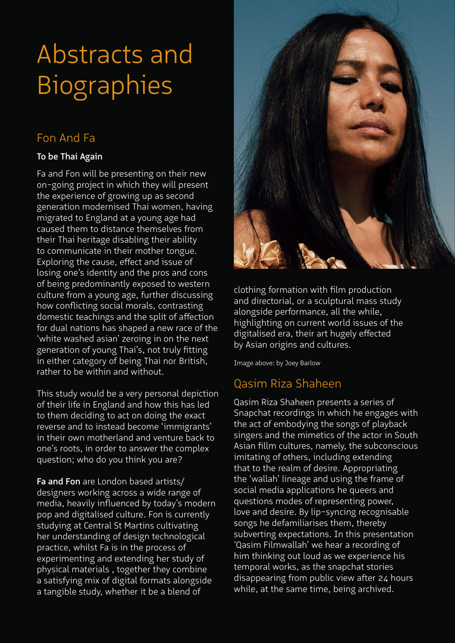# Fon And Fa

### To be Thai Again

Fa and Fon will be presenting on their new on-going project in which they will present the experience of growing up as second generation modernised Thai women, having migrated to England at a young age had caused them to distance themselves from their Thai heritage disabling their ability to communicate in their mother tongue. Exploring the cause, effect and issue of losing one's identity and the pros and cons of being predominantly exposed to western culture from a young age, further discussing how conflicting social morals, contrasting domestic teachings and the split of affection for dual nations has shaped a new race of the 'white washed asian' zeroing in on the next generation of young Thai's, not truly fitting in either category of being Thai nor British, rather to be within and without.

This study would be a very personal depiction of their life in England and how this has led to them deciding to act on doing the exact reverse and to instead become 'immigrants' in their own motherland and venture back to one's roots, in order to answer the complex question; who do you think you are?

Fa and Fon are London based artists/ designers working across a wide range of media, heavily influenced by today's modern pop and digitalised culture. Fon is currently studying at Central St Martins cultivating her understanding of design technological practice, whilst Fa is in the process of experimenting and extending her study of physical materials , together they combine a satisfying mix of digital formats alongside a tangible study, whether it be a blend of



clothing formation with film production and directorial, or a sculptural mass study alongside performance, all the while, highlighting on current world issues of the digitalised era, their art hugely effected by Asian origins and cultures.

Image above: by Joey Barlow

# Qasim Riza Shaheen

Qasim Riza Shaheen presents a series of Snapchat recordings in which he engages with the act of embodying the songs of playback singers and the mimetics of the actor in South Asian fillm cultures, namely, the subconscious imitating of others, including extending that to the realm of desire. Appropriating the 'wallah' lineage and using the frame of social media applications he queers and questions modes of representing power, love and desire. By lip-syncing recognisable songs he defamiliarises them, thereby subverting expectations. In this presentation 'Qasim Filmwallah' we hear a recording of him thinking out loud as we experience his temporal works, as the snapchat stories disappearing from public view after 24 hours while, at the same time, being archived.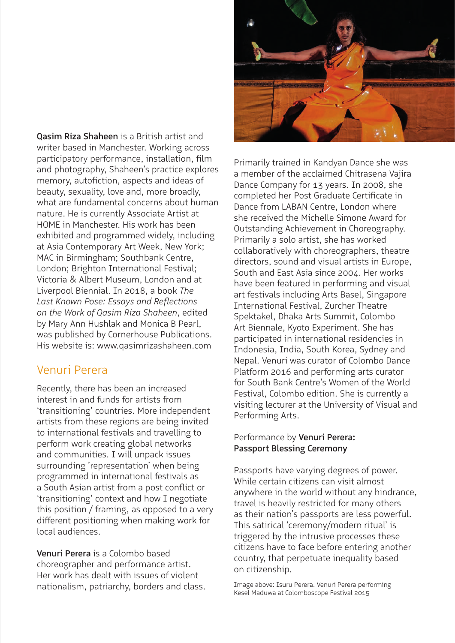Qasim Riza Shaheen is a British artist and writer based in Manchester. Working across participatory performance, installation, film and photography, Shaheen's practice explores memory, autofiction, aspects and ideas of beauty, sexuality, love and, more broadly, what are fundamental concerns about human nature. He is currently Associate Artist at HOME in Manchester. His work has been exhibited and programmed widely, including at Asia Contemporary Art Week, New York; MAC in Birmingham; Southbank Centre, London; Brighton International Festival; Victoria & Albert Museum, London and at Liverpool Biennial. In 2018, a book *The Last Known Pose: Essays and Reflections on the Work of Qasim Riza Shaheen*, edited by Mary Ann Hushlak and Monica B Pearl, was published by Cornerhouse Publications. His website is: www.qasimrizashaheen.com

## Venuri Perera

Recently, there has been an increased interest in and funds for artists from 'transitioning' countries. More independent artists from these regions are being invited to international festivals and travelling to perform work creating global networks and communities. I will unpack issues surrounding 'representation' when being programmed in international festivals as a South Asian artist from a post conflict or 'transitioning' context and how I negotiate this position / framing, as opposed to a very different positioning when making work for local audiences.

Venuri Perera is a Colombo based choreographer and performance artist. Her work has dealt with issues of violent nationalism, patriarchy, borders and class.



Primarily trained in Kandyan Dance she was a member of the acclaimed Chitrasena Vajira Dance Company for 13 years. In 2008, she completed her Post Graduate Certificate in Dance from LABAN Centre, London where she received the Michelle Simone Award for Outstanding Achievement in Choreography. Primarily a solo artist, she has worked collaboratively with choreographers, theatre directors, sound and visual artists in Europe, South and East Asia since 2004. Her works have been featured in performing and visual art festivals including Arts Basel, Singapore International Festival, Zurcher Theatre Spektakel, Dhaka Arts Summit, Colombo Art Biennale, Kyoto Experiment. She has participated in international residencies in Indonesia, India, South Korea, Sydney and Nepal. Venuri was curator of Colombo Dance Platform 2016 and performing arts curator for South Bank Centre's Women of the World Festival, Colombo edition. She is currently a visiting lecturer at the University of Visual and Performing Arts.

### Performance by Venuri Perera: Passport Blessing Ceremony

Passports have varying degrees of power. While certain citizens can visit almost anywhere in the world without any hindrance, travel is heavily restricted for many others as their nation's passports are less powerful. This satirical 'ceremony/modern ritual' is triggered by the intrusive processes these citizens have to face before entering another country, that perpetuate inequality based on citizenship.

Image above: Isuru Perera. Venuri Perera performing Kesel Maduwa at Colomboscope Festival 2015